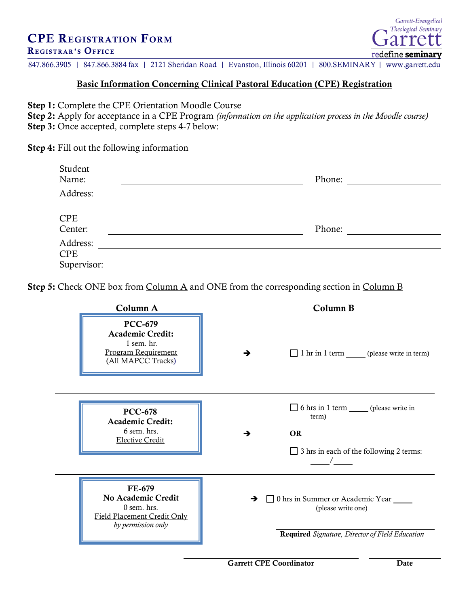## CPE REGISTRATION FORM

## REGISTRAR'S OFFICE

847.866.3905 | 847.866.3884 fax | 2121 Sheridan Road | Evanston, Illinois 60201 | 800.SEMINARY | www.garrett.edu

## Basic Information Concerning Clinical Pastoral Education (CPE) Registration

Step 1: Complete the CPE Orientation Moodle Course

Step 2: Apply for acceptance in a CPE Program *(information on the application process in the Moodle course)* Step 3: Once accepted, complete steps 4-7 below:

Step 4: Fill out the following information

| Student<br>Name:<br>Address:          | Phone: |
|---------------------------------------|--------|
| <b>CPE</b><br>Center:                 | Phone: |
| Address:<br><b>CPE</b><br>Supervisor: |        |

Step 5: Check ONE box from Column A and ONE from the corresponding section in Column B

| Column A                                                                                                      | Column B                                                                                                                     |
|---------------------------------------------------------------------------------------------------------------|------------------------------------------------------------------------------------------------------------------------------|
| <b>PCC-679</b><br><b>Academic Credit:</b><br>$1$ sem. hr.<br><b>Program Requirement</b><br>(All MAPCC Tracks) | 1 hr in 1 term ______ (please write in term)<br>→                                                                            |
| <b>PCC-678</b><br><b>Academic Credit:</b><br>6 sem. hrs.<br><b>Elective Credit</b>                            | 6 hrs in 1 term ______ (please write in<br>term)<br><b>OR</b><br>→<br>$\Box$ 3 hrs in each of the following 2 terms:         |
| FE-679<br>No Academic Credit<br>$0$ sem. hrs.<br>Field Placement Credit Only<br>by permission only            | 0 hrs in Summer or Academic Year ______<br>→<br>(please write one)<br><b>Required</b> Signature, Director of Field Education |

Garrett CPE Coordinator Date

Garrett-Evangelical Theological Seminary

arr

redefine seminary

т